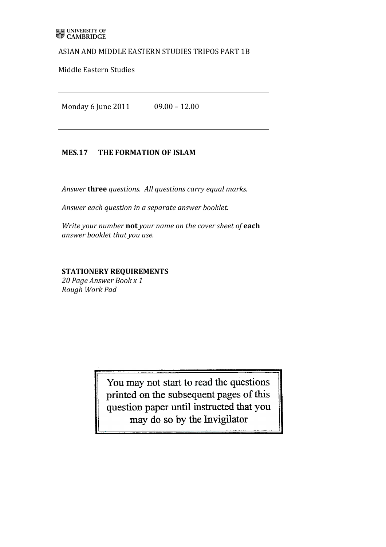## ASIAN AND MIDDLE EASTERN STUDIES TRIPOS PART 1B

Middle Eastern Studies

Monday 6 June 2011 09.00 - 12.00

## MES.17 THE FORMATION OF ISLAM

Answer **three** questions. All questions carry equal marks.

Answer each question in a separate answer booklet.

*Write your number* not *your name on the cover sheet of* each *answer booklet that you use.* 

**STATIONERY'REQUIREMENTS**

20 Page Answer Book x 1 *Rough!Work!Pad*

> You may not start to read the questions printed on the subsequent pages of this question paper until instructed that you may do so by the Invigilator